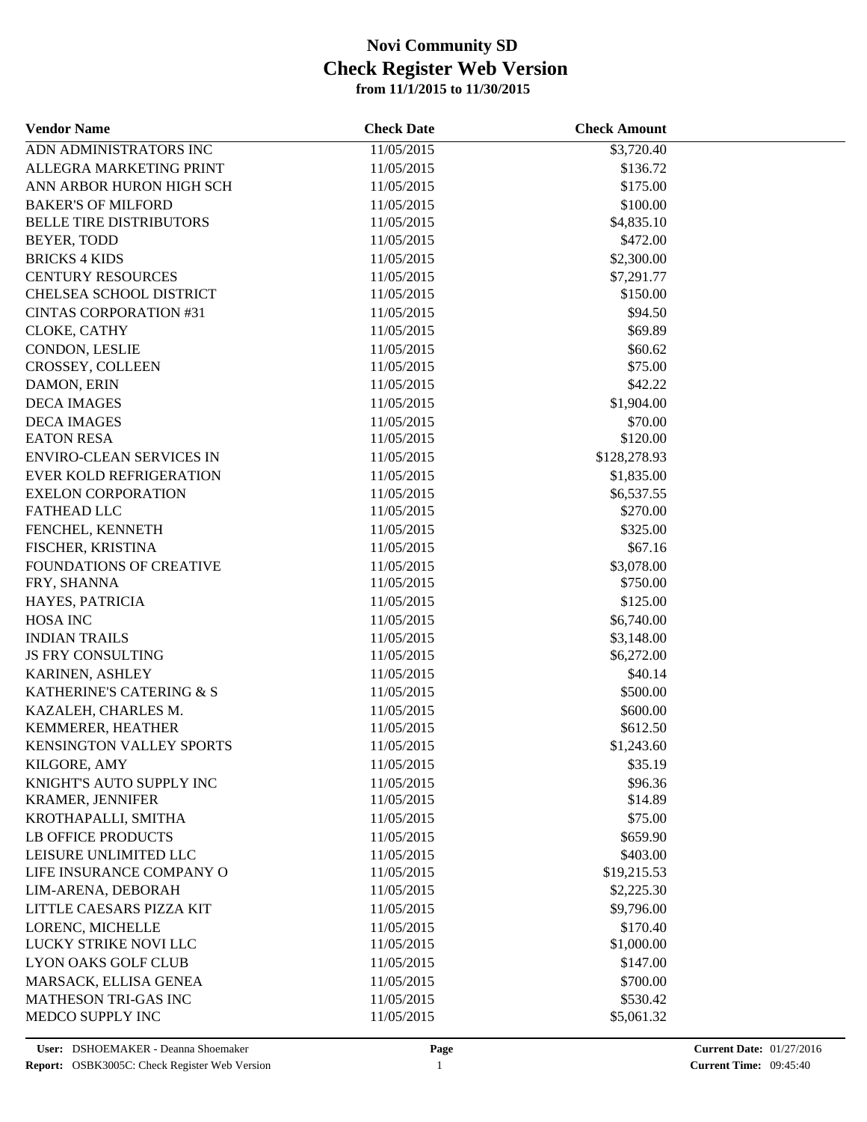| <b>Vendor Name</b>              | <b>Check Date</b> | <b>Check Amount</b> |  |
|---------------------------------|-------------------|---------------------|--|
| ADN ADMINISTRATORS INC          | 11/05/2015        | \$3,720.40          |  |
| ALLEGRA MARKETING PRINT         | 11/05/2015        | \$136.72            |  |
| ANN ARBOR HURON HIGH SCH        | 11/05/2015        | \$175.00            |  |
| <b>BAKER'S OF MILFORD</b>       | 11/05/2015        | \$100.00            |  |
| <b>BELLE TIRE DISTRIBUTORS</b>  | 11/05/2015        | \$4,835.10          |  |
| BEYER, TODD                     | 11/05/2015        | \$472.00            |  |
| <b>BRICKS 4 KIDS</b>            | 11/05/2015        | \$2,300.00          |  |
| <b>CENTURY RESOURCES</b>        | 11/05/2015        | \$7,291.77          |  |
| CHELSEA SCHOOL DISTRICT         | 11/05/2015        | \$150.00            |  |
| <b>CINTAS CORPORATION #31</b>   | 11/05/2015        | \$94.50             |  |
| CLOKE, CATHY                    | 11/05/2015        | \$69.89             |  |
| CONDON, LESLIE                  | 11/05/2015        | \$60.62             |  |
| CROSSEY, COLLEEN                | 11/05/2015        | \$75.00             |  |
| DAMON, ERIN                     | 11/05/2015        | \$42.22             |  |
| <b>DECA IMAGES</b>              | 11/05/2015        | \$1,904.00          |  |
| <b>DECA IMAGES</b>              | 11/05/2015        | \$70.00             |  |
| <b>EATON RESA</b>               | 11/05/2015        | \$120.00            |  |
| <b>ENVIRO-CLEAN SERVICES IN</b> | 11/05/2015        | \$128,278.93        |  |
| <b>EVER KOLD REFRIGERATION</b>  | 11/05/2015        | \$1,835.00          |  |
| <b>EXELON CORPORATION</b>       | 11/05/2015        | \$6,537.55          |  |
| <b>FATHEAD LLC</b>              | 11/05/2015        | \$270.00            |  |
| FENCHEL, KENNETH                | 11/05/2015        | \$325.00            |  |
|                                 |                   | \$67.16             |  |
| FISCHER, KRISTINA               | 11/05/2015        |                     |  |
| FOUNDATIONS OF CREATIVE         | 11/05/2015        | \$3,078.00          |  |
| FRY, SHANNA                     | 11/05/2015        | \$750.00            |  |
| HAYES, PATRICIA                 | 11/05/2015        | \$125.00            |  |
| <b>HOSA INC</b>                 | 11/05/2015        | \$6,740.00          |  |
| <b>INDIAN TRAILS</b>            | 11/05/2015        | \$3,148.00          |  |
| JS FRY CONSULTING               | 11/05/2015        | \$6,272.00          |  |
| KARINEN, ASHLEY                 | 11/05/2015        | \$40.14             |  |
| KATHERINE'S CATERING & S        | 11/05/2015        | \$500.00            |  |
| KAZALEH, CHARLES M.             | 11/05/2015        | \$600.00            |  |
| KEMMERER, HEATHER               | 11/05/2015        | \$612.50            |  |
| <b>KENSINGTON VALLEY SPORTS</b> | 11/05/2015        | \$1,243.60          |  |
| KILGORE, AMY                    | 11/05/2015        | \$35.19             |  |
| KNIGHT'S AUTO SUPPLY INC        | 11/05/2015        | \$96.36             |  |
| <b>KRAMER, JENNIFER</b>         | 11/05/2015        | \$14.89             |  |
| KROTHAPALLI, SMITHA             | 11/05/2015        | \$75.00             |  |
| <b>LB OFFICE PRODUCTS</b>       | 11/05/2015        | \$659.90            |  |
| LEISURE UNLIMITED LLC           | 11/05/2015        | \$403.00            |  |
| LIFE INSURANCE COMPANY O        | 11/05/2015        | \$19,215.53         |  |
| LIM-ARENA, DEBORAH              | 11/05/2015        | \$2,225.30          |  |
| LITTLE CAESARS PIZZA KIT        | 11/05/2015        | \$9,796.00          |  |
| LORENC, MICHELLE                | 11/05/2015        | \$170.40            |  |
| LUCKY STRIKE NOVI LLC           | 11/05/2015        | \$1,000.00          |  |
| <b>LYON OAKS GOLF CLUB</b>      | 11/05/2015        | \$147.00            |  |
| MARSACK, ELLISA GENEA           | 11/05/2015        | \$700.00            |  |
| MATHESON TRI-GAS INC            | 11/05/2015        | \$530.42            |  |
| MEDCO SUPPLY INC                | 11/05/2015        | \$5,061.32          |  |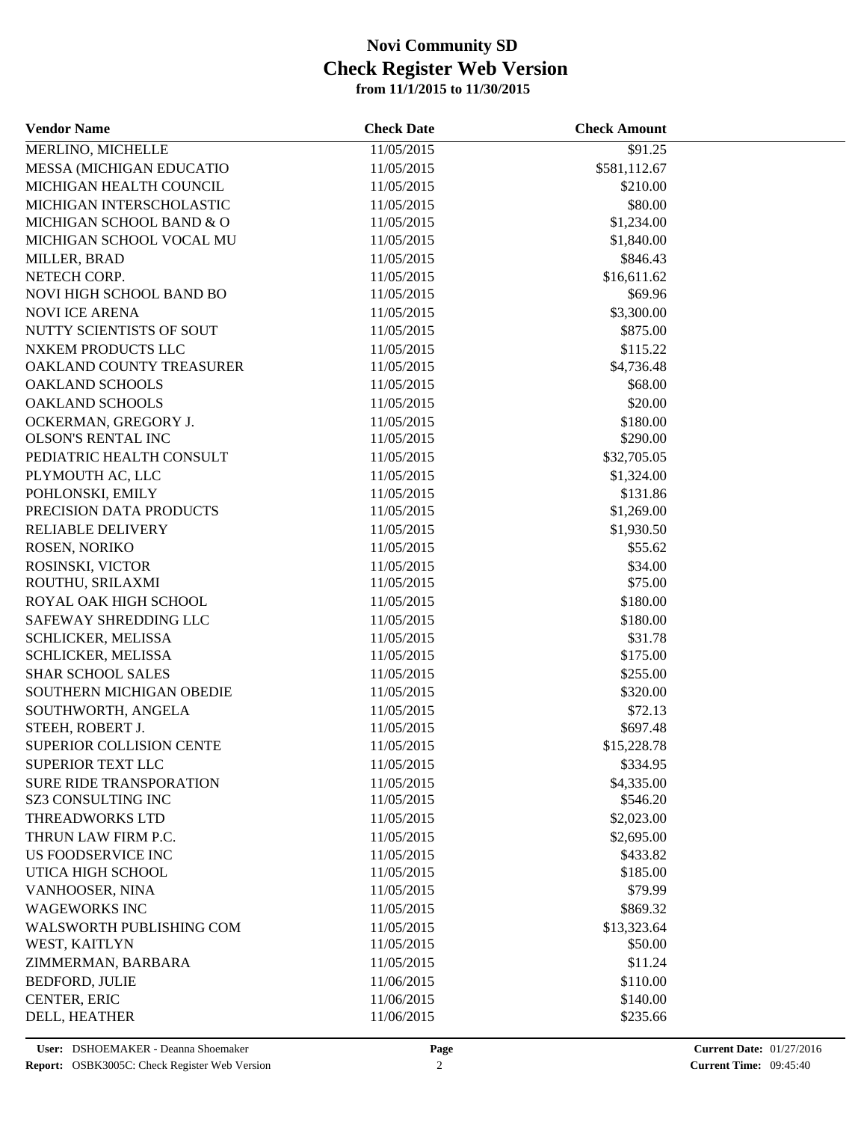| <b>Vendor Name</b>             | <b>Check Date</b> | <b>Check Amount</b> |  |
|--------------------------------|-------------------|---------------------|--|
| MERLINO, MICHELLE              | 11/05/2015        | \$91.25             |  |
| MESSA (MICHIGAN EDUCATIO       | 11/05/2015        | \$581,112.67        |  |
| MICHIGAN HEALTH COUNCIL        | 11/05/2015        | \$210.00            |  |
| MICHIGAN INTERSCHOLASTIC       | 11/05/2015        | \$80.00             |  |
| MICHIGAN SCHOOL BAND & O       | 11/05/2015        | \$1,234.00          |  |
| MICHIGAN SCHOOL VOCAL MU       | 11/05/2015        | \$1,840.00          |  |
| MILLER, BRAD                   | 11/05/2015        | \$846.43            |  |
| NETECH CORP.                   | 11/05/2015        | \$16,611.62         |  |
| NOVI HIGH SCHOOL BAND BO       | 11/05/2015        | \$69.96             |  |
| <b>NOVI ICE ARENA</b>          | 11/05/2015        | \$3,300.00          |  |
| NUTTY SCIENTISTS OF SOUT       | 11/05/2015        | \$875.00            |  |
| NXKEM PRODUCTS LLC             | 11/05/2015        | \$115.22            |  |
| OAKLAND COUNTY TREASURER       | 11/05/2015        | \$4,736.48          |  |
| <b>OAKLAND SCHOOLS</b>         | 11/05/2015        | \$68.00             |  |
| <b>OAKLAND SCHOOLS</b>         | 11/05/2015        | \$20.00             |  |
| OCKERMAN, GREGORY J.           | 11/05/2015        | \$180.00            |  |
| <b>OLSON'S RENTAL INC</b>      | 11/05/2015        | \$290.00            |  |
| PEDIATRIC HEALTH CONSULT       | 11/05/2015        | \$32,705.05         |  |
| PLYMOUTH AC, LLC               | 11/05/2015        | \$1,324.00          |  |
| POHLONSKI, EMILY               | 11/05/2015        | \$131.86            |  |
| PRECISION DATA PRODUCTS        | 11/05/2015        | \$1,269.00          |  |
| RELIABLE DELIVERY              | 11/05/2015        | \$1,930.50          |  |
| ROSEN, NORIKO                  | 11/05/2015        | \$55.62             |  |
| ROSINSKI, VICTOR               | 11/05/2015        | \$34.00             |  |
| ROUTHU, SRILAXMI               | 11/05/2015        | \$75.00             |  |
| ROYAL OAK HIGH SCHOOL          | 11/05/2015        | \$180.00            |  |
| SAFEWAY SHREDDING LLC          | 11/05/2015        | \$180.00            |  |
| SCHLICKER, MELISSA             | 11/05/2015        | \$31.78             |  |
| SCHLICKER, MELISSA             | 11/05/2015        | \$175.00            |  |
| <b>SHAR SCHOOL SALES</b>       | 11/05/2015        | \$255.00            |  |
| SOUTHERN MICHIGAN OBEDIE       | 11/05/2015        | \$320.00            |  |
| SOUTHWORTH, ANGELA             | 11/05/2015        | \$72.13             |  |
| STEEH, ROBERT J.               | 11/05/2015        | \$697.48            |  |
| SUPERIOR COLLISION CENTE       | 11/05/2015        | \$15,228.78         |  |
| SUPERIOR TEXT LLC              | 11/05/2015        | \$334.95            |  |
| <b>SURE RIDE TRANSPORATION</b> | 11/05/2015        | \$4,335.00          |  |
| SZ3 CONSULTING INC             | 11/05/2015        | \$546.20            |  |
| THREADWORKS LTD                | 11/05/2015        | \$2,023.00          |  |
| THRUN LAW FIRM P.C.            | 11/05/2015        | \$2,695.00          |  |
| US FOODSERVICE INC             | 11/05/2015        | \$433.82            |  |
| UTICA HIGH SCHOOL              | 11/05/2015        | \$185.00            |  |
| VANHOOSER, NINA                | 11/05/2015        | \$79.99             |  |
| <b>WAGEWORKS INC</b>           | 11/05/2015        | \$869.32            |  |
| WALSWORTH PUBLISHING COM       | 11/05/2015        | \$13,323.64         |  |
| WEST, KAITLYN                  | 11/05/2015        | \$50.00             |  |
| ZIMMERMAN, BARBARA             | 11/05/2015        | \$11.24             |  |
| <b>BEDFORD, JULIE</b>          | 11/06/2015        | \$110.00            |  |
| CENTER, ERIC                   | 11/06/2015        | \$140.00            |  |
| DELL, HEATHER                  | 11/06/2015        | \$235.66            |  |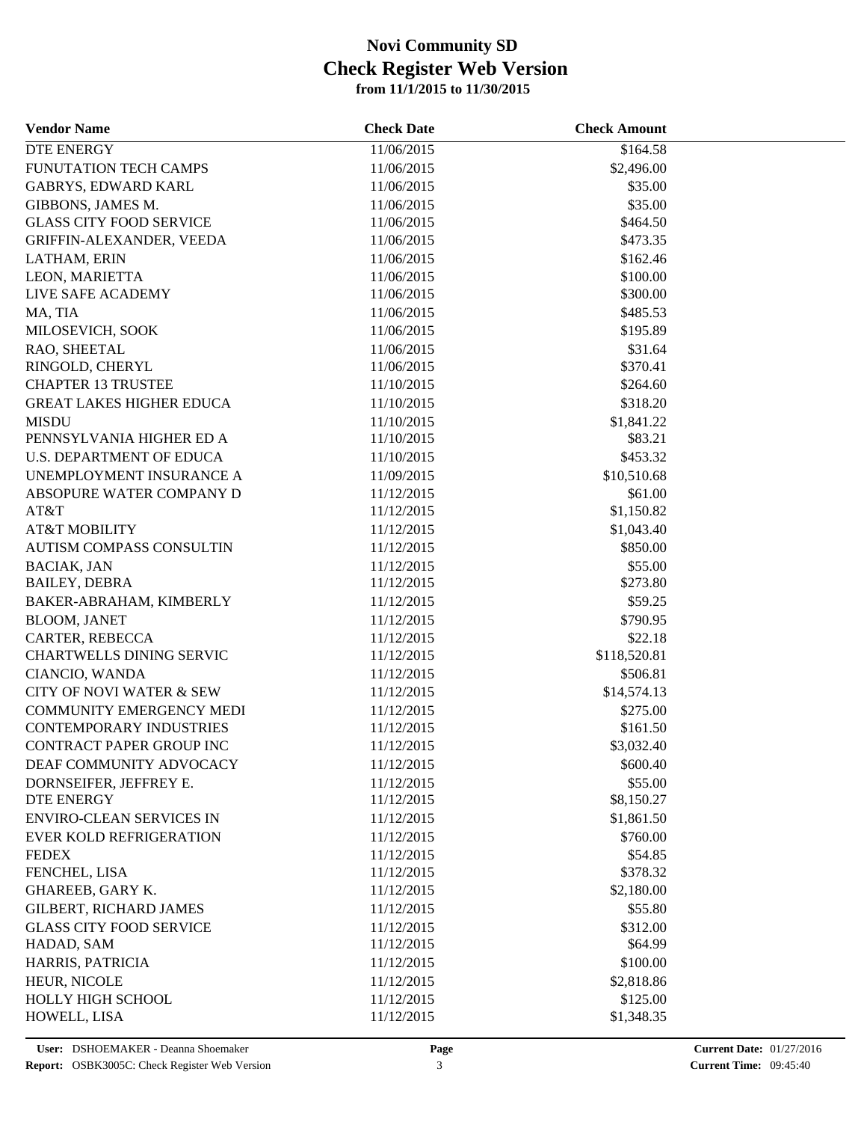| <b>Vendor Name</b>                  | <b>Check Date</b> | <b>Check Amount</b> |  |
|-------------------------------------|-------------------|---------------------|--|
| <b>DTE ENERGY</b>                   | 11/06/2015        | \$164.58            |  |
| FUNUTATION TECH CAMPS               | 11/06/2015        | \$2,496.00          |  |
| <b>GABRYS, EDWARD KARL</b>          | 11/06/2015        | \$35.00             |  |
| GIBBONS, JAMES M.                   | 11/06/2015        | \$35.00             |  |
| <b>GLASS CITY FOOD SERVICE</b>      | 11/06/2015        | \$464.50            |  |
| GRIFFIN-ALEXANDER, VEEDA            | 11/06/2015        | \$473.35            |  |
| LATHAM, ERIN                        | 11/06/2015        | \$162.46            |  |
| LEON, MARIETTA                      | 11/06/2015        | \$100.00            |  |
| LIVE SAFE ACADEMY                   | 11/06/2015        | \$300.00            |  |
| MA, TIA                             | 11/06/2015        | \$485.53            |  |
| MILOSEVICH, SOOK                    | 11/06/2015        | \$195.89            |  |
| RAO, SHEETAL                        | 11/06/2015        | \$31.64             |  |
| RINGOLD, CHERYL                     | 11/06/2015        | \$370.41            |  |
| <b>CHAPTER 13 TRUSTEE</b>           | 11/10/2015        | \$264.60            |  |
| <b>GREAT LAKES HIGHER EDUCA</b>     | 11/10/2015        | \$318.20            |  |
| <b>MISDU</b>                        | 11/10/2015        | \$1,841.22          |  |
| PENNSYLVANIA HIGHER ED A            | 11/10/2015        | \$83.21             |  |
| <b>U.S. DEPARTMENT OF EDUCA</b>     | 11/10/2015        | \$453.32            |  |
| UNEMPLOYMENT INSURANCE A            | 11/09/2015        | \$10,510.68         |  |
| ABSOPURE WATER COMPANY D            | 11/12/2015        | \$61.00             |  |
| AT&T                                | 11/12/2015        | \$1,150.82          |  |
| <b>AT&amp;T MOBILITY</b>            | 11/12/2015        | \$1,043.40          |  |
| AUTISM COMPASS CONSULTIN            | 11/12/2015        | \$850.00            |  |
| <b>BACIAK, JAN</b>                  | 11/12/2015        | \$55.00             |  |
| <b>BAILEY, DEBRA</b>                | 11/12/2015        | \$273.80            |  |
| BAKER-ABRAHAM, KIMBERLY             | 11/12/2015        | \$59.25             |  |
| <b>BLOOM, JANET</b>                 | 11/12/2015        | \$790.95            |  |
| CARTER, REBECCA                     | 11/12/2015        | \$22.18             |  |
| CHARTWELLS DINING SERVIC            | 11/12/2015        | \$118,520.81        |  |
| CIANCIO, WANDA                      | 11/12/2015        | \$506.81            |  |
| <b>CITY OF NOVI WATER &amp; SEW</b> | 11/12/2015        | \$14,574.13         |  |
| COMMUNITY EMERGENCY MEDI            | 11/12/2015        | \$275.00            |  |
| <b>CONTEMPORARY INDUSTRIES</b>      | 11/12/2015        | \$161.50            |  |
| CONTRACT PAPER GROUP INC            | 11/12/2015        | \$3,032.40          |  |
| DEAF COMMUNITY ADVOCACY             | 11/12/2015        | \$600.40            |  |
| DORNSEIFER, JEFFREY E.              | 11/12/2015        | \$55.00             |  |
| <b>DTE ENERGY</b>                   | 11/12/2015        | \$8,150.27          |  |
| <b>ENVIRO-CLEAN SERVICES IN</b>     | 11/12/2015        | \$1,861.50          |  |
| <b>EVER KOLD REFRIGERATION</b>      | 11/12/2015        | \$760.00            |  |
| <b>FEDEX</b>                        | 11/12/2015        | \$54.85             |  |
| FENCHEL, LISA                       | 11/12/2015        | \$378.32            |  |
| GHAREEB, GARY K.                    | 11/12/2015        | \$2,180.00          |  |
| <b>GILBERT, RICHARD JAMES</b>       | 11/12/2015        | \$55.80             |  |
| <b>GLASS CITY FOOD SERVICE</b>      | 11/12/2015        | \$312.00            |  |
| HADAD, SAM                          | 11/12/2015        | \$64.99             |  |
| HARRIS, PATRICIA                    | 11/12/2015        | \$100.00            |  |
| HEUR, NICOLE                        | 11/12/2015        | \$2,818.86          |  |
| HOLLY HIGH SCHOOL                   | 11/12/2015        | \$125.00            |  |
| HOWELL, LISA                        | 11/12/2015        | \$1,348.35          |  |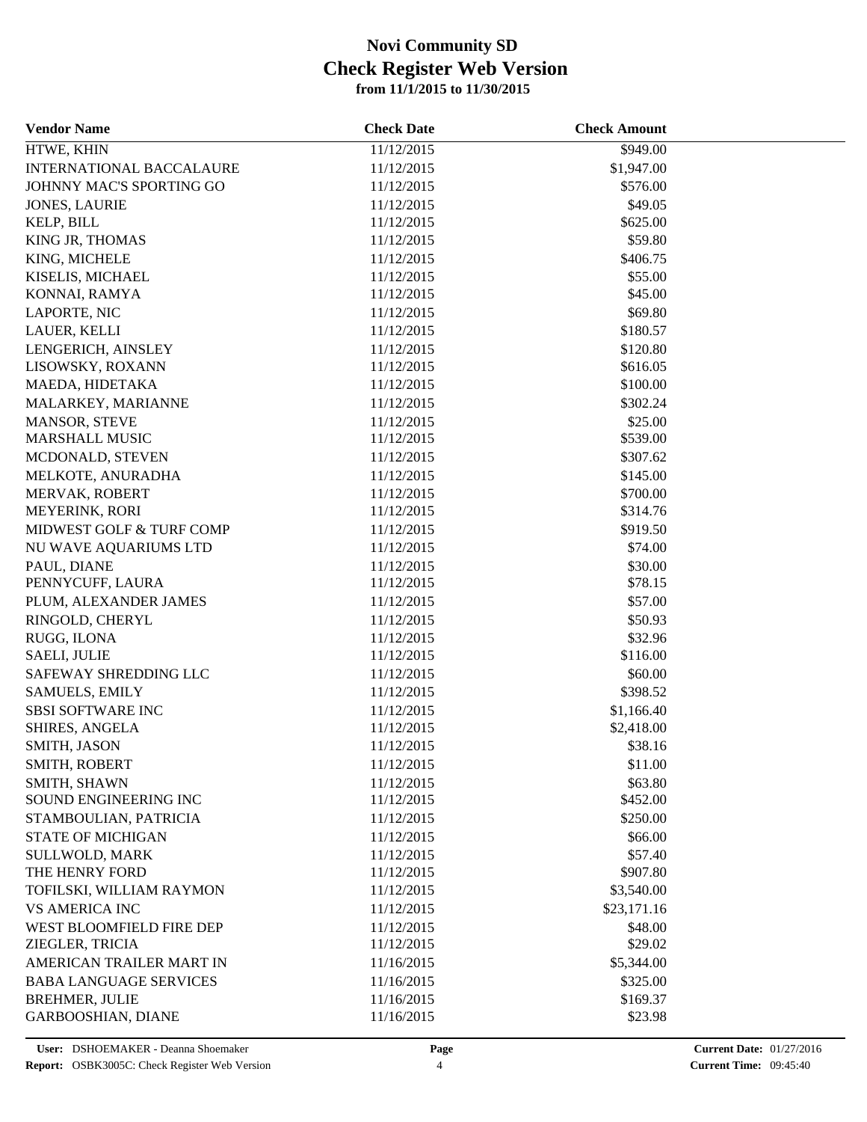| <b>Vendor Name</b>                                 | <b>Check Date</b>        | <b>Check Amount</b> |  |
|----------------------------------------------------|--------------------------|---------------------|--|
| HTWE, KHIN                                         | 11/12/2015               | \$949.00            |  |
| <b>INTERNATIONAL BACCALAURE</b>                    | 11/12/2015               | \$1,947.00          |  |
| JOHNNY MAC'S SPORTING GO                           | 11/12/2015               | \$576.00            |  |
| <b>JONES, LAURIE</b>                               | 11/12/2015               | \$49.05             |  |
| KELP, BILL                                         | 11/12/2015               | \$625.00            |  |
| KING JR, THOMAS                                    | 11/12/2015               | \$59.80             |  |
| KING, MICHELE                                      | 11/12/2015               | \$406.75            |  |
| KISELIS, MICHAEL                                   | 11/12/2015               | \$55.00             |  |
| KONNAI, RAMYA                                      | 11/12/2015               | \$45.00             |  |
| LAPORTE, NIC                                       | 11/12/2015               | \$69.80             |  |
| LAUER, KELLI                                       | 11/12/2015               | \$180.57            |  |
| LENGERICH, AINSLEY                                 | 11/12/2015               | \$120.80            |  |
| LISOWSKY, ROXANN                                   | 11/12/2015               | \$616.05            |  |
| MAEDA, HIDETAKA                                    | 11/12/2015               | \$100.00            |  |
| MALARKEY, MARIANNE                                 | 11/12/2015               | \$302.24            |  |
| MANSOR, STEVE                                      | 11/12/2015               | \$25.00             |  |
| <b>MARSHALL MUSIC</b>                              | 11/12/2015               | \$539.00            |  |
| MCDONALD, STEVEN                                   | 11/12/2015               | \$307.62            |  |
| MELKOTE, ANURADHA                                  | 11/12/2015               | \$145.00            |  |
| MERVAK, ROBERT                                     | 11/12/2015               | \$700.00            |  |
| MEYERINK, RORI                                     | 11/12/2015               | \$314.76            |  |
| MIDWEST GOLF & TURF COMP                           | 11/12/2015               | \$919.50            |  |
| NU WAVE AQUARIUMS LTD                              | 11/12/2015               | \$74.00             |  |
| PAUL, DIANE                                        | 11/12/2015               | \$30.00             |  |
| PENNYCUFF, LAURA                                   | 11/12/2015               | \$78.15             |  |
| PLUM, ALEXANDER JAMES                              | 11/12/2015               | \$57.00             |  |
| RINGOLD, CHERYL                                    | 11/12/2015               | \$50.93             |  |
| RUGG, ILONA                                        | 11/12/2015               | \$32.96             |  |
| <b>SAELI, JULIE</b>                                | 11/12/2015               | \$116.00            |  |
| SAFEWAY SHREDDING LLC                              | 11/12/2015               | \$60.00             |  |
| <b>SAMUELS, EMILY</b>                              | 11/12/2015               | \$398.52            |  |
| <b>SBSI SOFTWARE INC</b>                           | 11/12/2015               | \$1,166.40          |  |
| SHIRES, ANGELA                                     | 11/12/2015               | \$2,418.00          |  |
| SMITH, JASON                                       | 11/12/2015               | \$38.16             |  |
| SMITH, ROBERT                                      | 11/12/2015               | \$11.00             |  |
| SMITH, SHAWN                                       | 11/12/2015               | \$63.80             |  |
| SOUND ENGINEERING INC                              | 11/12/2015               | \$452.00            |  |
| STAMBOULIAN, PATRICIA                              | 11/12/2015               | \$250.00            |  |
| <b>STATE OF MICHIGAN</b>                           | 11/12/2015               | \$66.00             |  |
| SULLWOLD, MARK                                     | 11/12/2015               | \$57.40             |  |
| THE HENRY FORD                                     | 11/12/2015               | \$907.80            |  |
| TOFILSKI, WILLIAM RAYMON                           | 11/12/2015               | \$3,540.00          |  |
| <b>VS AMERICA INC</b>                              | 11/12/2015               | \$23,171.16         |  |
| WEST BLOOMFIELD FIRE DEP                           | 11/12/2015               | \$48.00             |  |
| ZIEGLER, TRICIA                                    | 11/12/2015               | \$29.02             |  |
| AMERICAN TRAILER MART IN                           | 11/16/2015               | \$5,344.00          |  |
| <b>BABA LANGUAGE SERVICES</b>                      | 11/16/2015               | \$325.00            |  |
|                                                    |                          | \$169.37            |  |
| <b>BREHMER, JULIE</b><br><b>GARBOOSHIAN, DIANE</b> | 11/16/2015<br>11/16/2015 |                     |  |
|                                                    |                          | \$23.98             |  |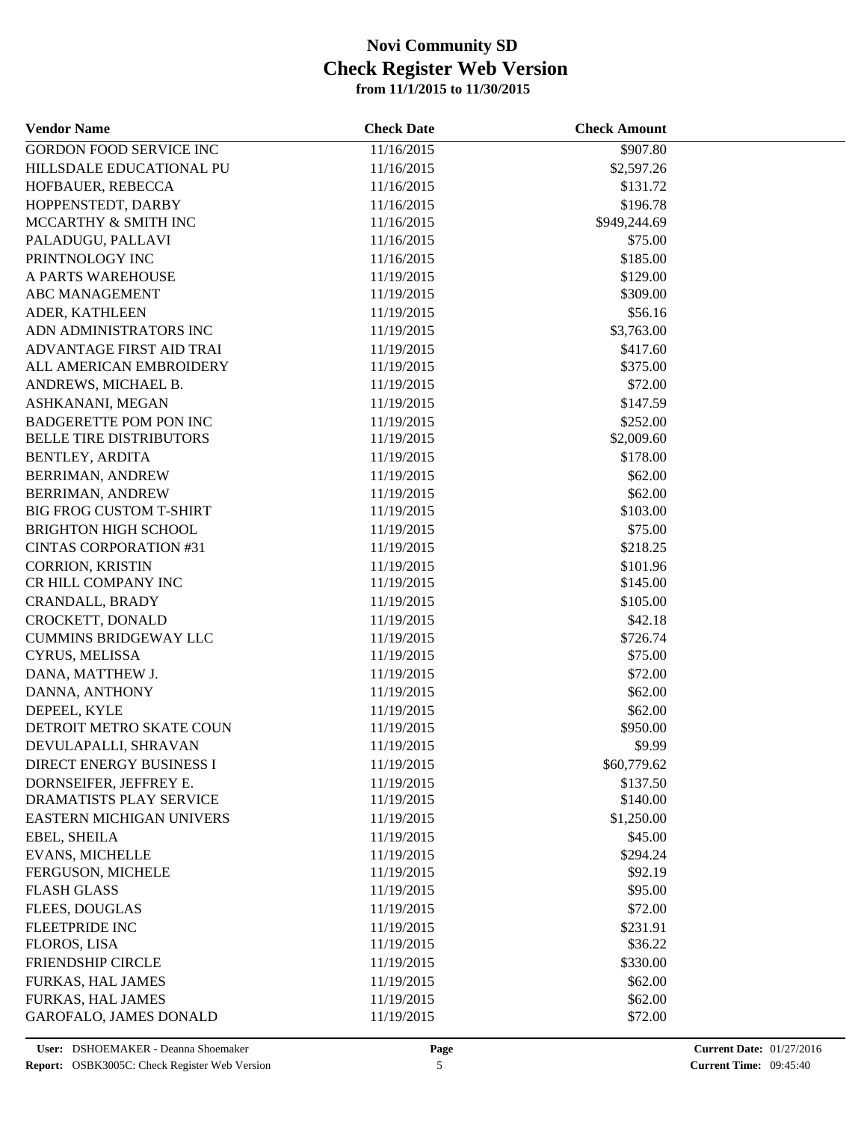| <b>Vendor Name</b>             | <b>Check Date</b> | <b>Check Amount</b> |  |
|--------------------------------|-------------------|---------------------|--|
| <b>GORDON FOOD SERVICE INC</b> | 11/16/2015        | \$907.80            |  |
| HILLSDALE EDUCATIONAL PU       | 11/16/2015        | \$2,597.26          |  |
| HOFBAUER, REBECCA              | 11/16/2015        | \$131.72            |  |
| HOPPENSTEDT, DARBY             | 11/16/2015        | \$196.78            |  |
| MCCARTHY & SMITH INC           | 11/16/2015        | \$949,244.69        |  |
| PALADUGU, PALLAVI              | 11/16/2015        | \$75.00             |  |
| PRINTNOLOGY INC                | 11/16/2015        | \$185.00            |  |
| A PARTS WAREHOUSE              | 11/19/2015        | \$129.00            |  |
| <b>ABC MANAGEMENT</b>          | 11/19/2015        | \$309.00            |  |
| ADER, KATHLEEN                 | 11/19/2015        | \$56.16             |  |
| ADN ADMINISTRATORS INC         | 11/19/2015        | \$3,763.00          |  |
| ADVANTAGE FIRST AID TRAI       | 11/19/2015        | \$417.60            |  |
| ALL AMERICAN EMBROIDERY        | 11/19/2015        | \$375.00            |  |
| ANDREWS, MICHAEL B.            | 11/19/2015        | \$72.00             |  |
| ASHKANANI, MEGAN               | 11/19/2015        | \$147.59            |  |
| <b>BADGERETTE POM PON INC</b>  | 11/19/2015        | \$252.00            |  |
| <b>BELLE TIRE DISTRIBUTORS</b> | 11/19/2015        | \$2,009.60          |  |
| <b>BENTLEY, ARDITA</b>         | 11/19/2015        | \$178.00            |  |
| <b>BERRIMAN, ANDREW</b>        | 11/19/2015        | \$62.00             |  |
| <b>BERRIMAN, ANDREW</b>        | 11/19/2015        | \$62.00             |  |
| <b>BIG FROG CUSTOM T-SHIRT</b> | 11/19/2015        | \$103.00            |  |
| <b>BRIGHTON HIGH SCHOOL</b>    | 11/19/2015        | \$75.00             |  |
| <b>CINTAS CORPORATION #31</b>  | 11/19/2015        | \$218.25            |  |
| <b>CORRION, KRISTIN</b>        | 11/19/2015        | \$101.96            |  |
| CR HILL COMPANY INC            | 11/19/2015        | \$145.00            |  |
| CRANDALL, BRADY                | 11/19/2015        | \$105.00            |  |
| CROCKETT, DONALD               | 11/19/2015        | \$42.18             |  |
| <b>CUMMINS BRIDGEWAY LLC</b>   | 11/19/2015        | \$726.74            |  |
| CYRUS, MELISSA                 | 11/19/2015        | \$75.00             |  |
| DANA, MATTHEW J.               | 11/19/2015        | \$72.00             |  |
| DANNA, ANTHONY                 | 11/19/2015        | \$62.00             |  |
| DEPEEL, KYLE                   | 11/19/2015        | \$62.00             |  |
| DETROIT METRO SKATE COUN       | 11/19/2015        | \$950.00            |  |
| DEVULAPALLI, SHRAVAN           | 11/19/2015        | \$9.99              |  |
| DIRECT ENERGY BUSINESS I       | 11/19/2015        | \$60,779.62         |  |
| DORNSEIFER, JEFFREY E.         | 11/19/2015        | \$137.50            |  |
| DRAMATISTS PLAY SERVICE        | 11/19/2015        | \$140.00            |  |
| EASTERN MICHIGAN UNIVERS       | 11/19/2015        | \$1,250.00          |  |
| EBEL, SHEILA                   | 11/19/2015        | \$45.00             |  |
| <b>EVANS, MICHELLE</b>         | 11/19/2015        | \$294.24            |  |
| FERGUSON, MICHELE              | 11/19/2015        | \$92.19             |  |
| <b>FLASH GLASS</b>             | 11/19/2015        | \$95.00             |  |
| <b>FLEES, DOUGLAS</b>          | 11/19/2015        | \$72.00             |  |
| <b>FLEETPRIDE INC</b>          | 11/19/2015        | \$231.91            |  |
| FLOROS, LISA                   | 11/19/2015        | \$36.22             |  |
| <b>FRIENDSHIP CIRCLE</b>       | 11/19/2015        | \$330.00            |  |
| FURKAS, HAL JAMES              | 11/19/2015        | \$62.00             |  |
| FURKAS, HAL JAMES              | 11/19/2015        | \$62.00             |  |
| <b>GAROFALO, JAMES DONALD</b>  | 11/19/2015        | \$72.00             |  |
|                                |                   |                     |  |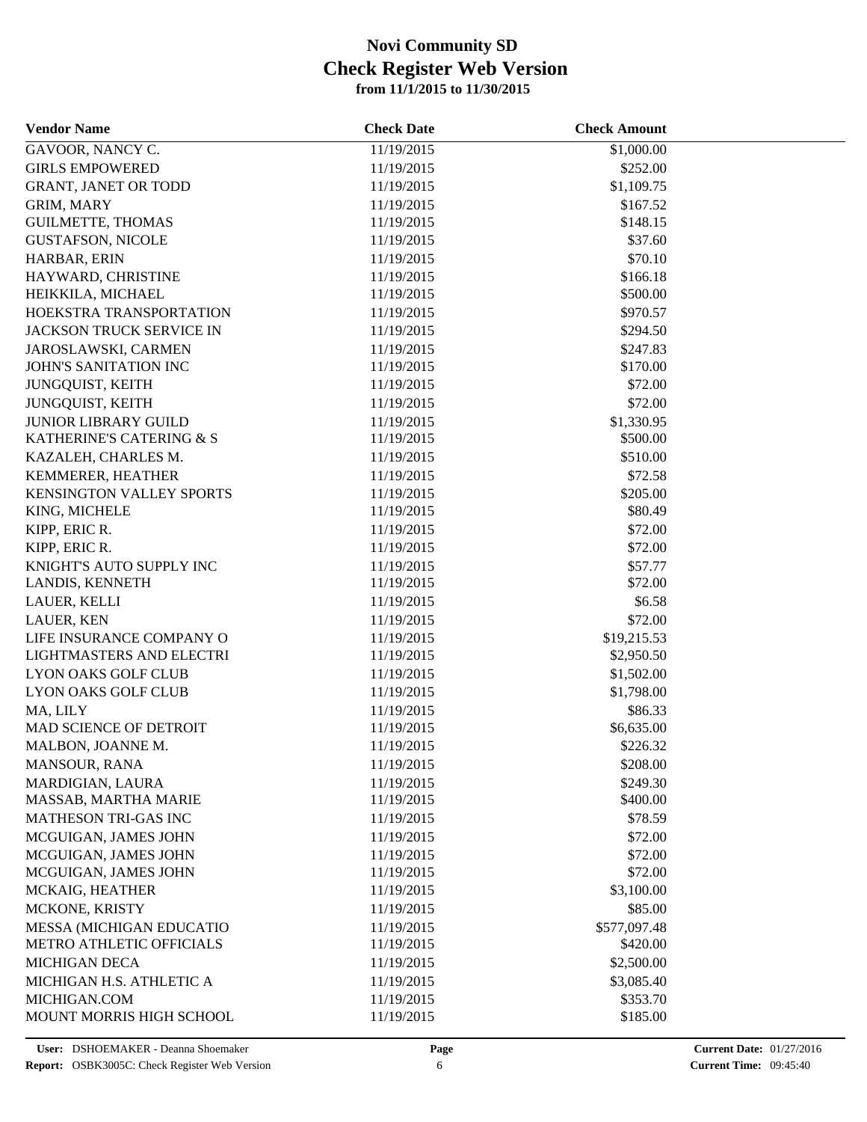| <b>Vendor Name</b>                                   | <b>Check Date</b> | <b>Check Amount</b> |  |
|------------------------------------------------------|-------------------|---------------------|--|
| GAVOOR, NANCY C.                                     | 11/19/2015        | \$1,000.00          |  |
| <b>GIRLS EMPOWERED</b>                               | 11/19/2015        | \$252.00            |  |
| <b>GRANT, JANET OR TODD</b>                          | 11/19/2015        | \$1,109.75          |  |
| <b>GRIM, MARY</b>                                    | 11/19/2015        | \$167.52            |  |
| <b>GUILMETTE, THOMAS</b>                             | 11/19/2015        | \$148.15            |  |
| <b>GUSTAFSON, NICOLE</b>                             | 11/19/2015        | \$37.60             |  |
| HARBAR, ERIN                                         | 11/19/2015        | \$70.10             |  |
| HAYWARD, CHRISTINE                                   | 11/19/2015        | \$166.18            |  |
| HEIKKILA, MICHAEL                                    | 11/19/2015        | \$500.00            |  |
| HOEKSTRA TRANSPORTATION                              | 11/19/2015        | \$970.57            |  |
| JACKSON TRUCK SERVICE IN                             | 11/19/2015        | \$294.50            |  |
| JAROSLAWSKI, CARMEN                                  | 11/19/2015        | \$247.83            |  |
| JOHN'S SANITATION INC                                | 11/19/2015        | \$170.00            |  |
| JUNGQUIST, KEITH                                     | 11/19/2015        | \$72.00             |  |
| JUNGQUIST, KEITH                                     | 11/19/2015        | \$72.00             |  |
| <b>JUNIOR LIBRARY GUILD</b>                          | 11/19/2015        | \$1,330.95          |  |
| KATHERINE'S CATERING & S                             | 11/19/2015        | \$500.00            |  |
| KAZALEH, CHARLES M.                                  | 11/19/2015        | \$510.00            |  |
| KEMMERER, HEATHER                                    | 11/19/2015        | \$72.58             |  |
| KENSINGTON VALLEY SPORTS                             | 11/19/2015        | \$205.00            |  |
| KING, MICHELE                                        | 11/19/2015        | \$80.49             |  |
| KIPP, ERIC R.                                        | 11/19/2015        | \$72.00             |  |
| KIPP, ERIC R.                                        | 11/19/2015        | \$72.00             |  |
| KNIGHT'S AUTO SUPPLY INC                             | 11/19/2015        | \$57.77             |  |
| LANDIS, KENNETH                                      | 11/19/2015        | \$72.00             |  |
| LAUER, KELLI                                         | 11/19/2015        | \$6.58              |  |
| LAUER, KEN                                           | 11/19/2015        | \$72.00             |  |
|                                                      |                   |                     |  |
| LIFE INSURANCE COMPANY O<br>LIGHTMASTERS AND ELECTRI | 11/19/2015        | \$19,215.53         |  |
| <b>LYON OAKS GOLF CLUB</b>                           | 11/19/2015        | \$2,950.50          |  |
|                                                      | 11/19/2015        | \$1,502.00          |  |
| <b>LYON OAKS GOLF CLUB</b>                           | 11/19/2015        | \$1,798.00          |  |
| MA, LILY                                             | 11/19/2015        | \$86.33             |  |
| MAD SCIENCE OF DETROIT                               | 11/19/2015        | \$6,635.00          |  |
| MALBON, JOANNE M.                                    | 11/19/2015        | \$226.32            |  |
| MANSOUR, RANA                                        | 11/19/2015        | \$208.00            |  |
| MARDIGIAN, LAURA                                     | 11/19/2015        | \$249.30            |  |
| MASSAB, MARTHA MARIE                                 | 11/19/2015        | \$400.00            |  |
| <b>MATHESON TRI-GAS INC</b>                          | 11/19/2015        | \$78.59             |  |
| MCGUIGAN, JAMES JOHN                                 | 11/19/2015        | \$72.00             |  |
| MCGUIGAN, JAMES JOHN                                 | 11/19/2015        | \$72.00             |  |
| MCGUIGAN, JAMES JOHN                                 | 11/19/2015        | \$72.00             |  |
| MCKAIG, HEATHER                                      | 11/19/2015        | \$3,100.00          |  |
| MCKONE, KRISTY                                       | 11/19/2015        | \$85.00             |  |
| MESSA (MICHIGAN EDUCATIO                             | 11/19/2015        | \$577,097.48        |  |
| METRO ATHLETIC OFFICIALS                             | 11/19/2015        | \$420.00            |  |
| <b>MICHIGAN DECA</b>                                 | 11/19/2015        | \$2,500.00          |  |
| MICHIGAN H.S. ATHLETIC A                             | 11/19/2015        | \$3,085.40          |  |
| MICHIGAN.COM                                         | 11/19/2015        | \$353.70            |  |
| MOUNT MORRIS HIGH SCHOOL                             | 11/19/2015        | \$185.00            |  |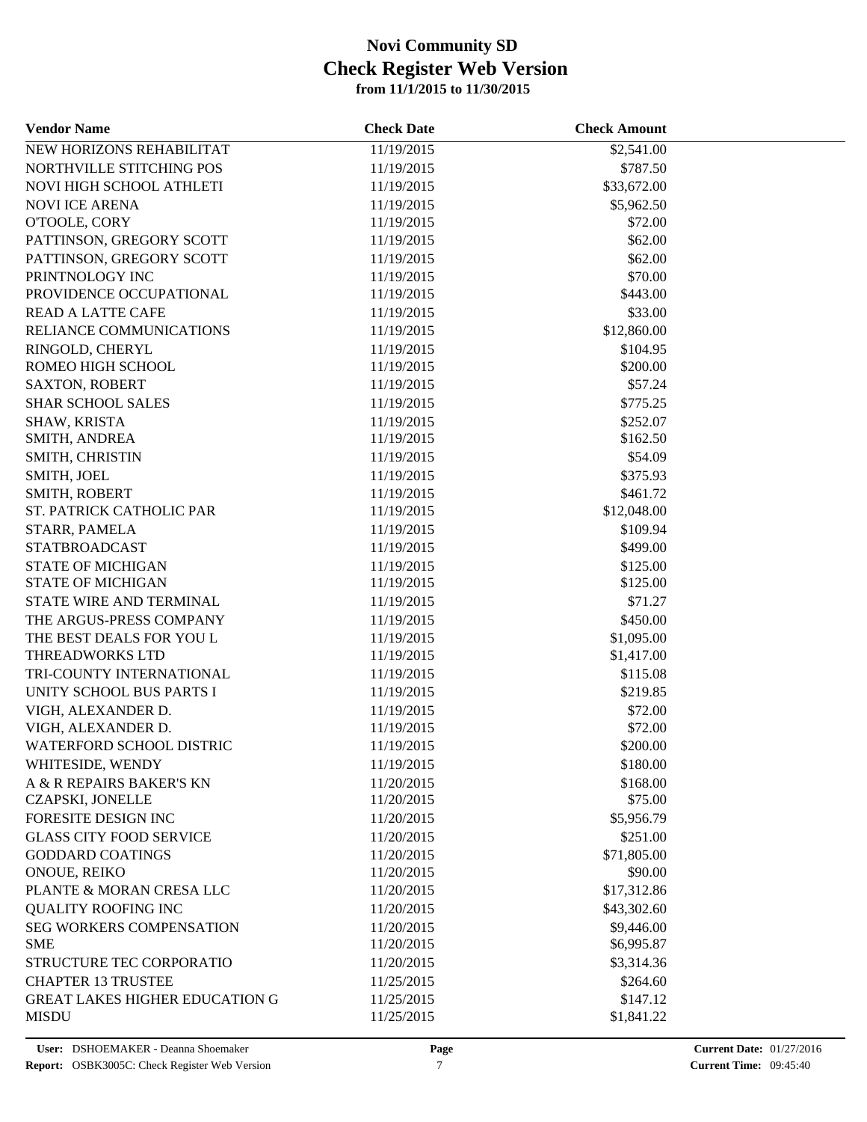| <b>Vendor Name</b>                      | <b>Check Date</b>        | <b>Check Amount</b>    |  |
|-----------------------------------------|--------------------------|------------------------|--|
| NEW HORIZONS REHABILITAT                | 11/19/2015               | \$2,541.00             |  |
| NORTHVILLE STITCHING POS                | 11/19/2015               | \$787.50               |  |
| NOVI HIGH SCHOOL ATHLETI                | 11/19/2015               | \$33,672.00            |  |
| <b>NOVI ICE ARENA</b>                   | 11/19/2015               | \$5,962.50             |  |
| O'TOOLE, CORY                           | 11/19/2015               | \$72.00                |  |
| PATTINSON, GREGORY SCOTT                | 11/19/2015               | \$62.00                |  |
| PATTINSON, GREGORY SCOTT                | 11/19/2015               | \$62.00                |  |
| PRINTNOLOGY INC                         | 11/19/2015               | \$70.00                |  |
| PROVIDENCE OCCUPATIONAL                 | 11/19/2015               | \$443.00               |  |
| <b>READ A LATTE CAFE</b>                | 11/19/2015               | \$33.00                |  |
| RELIANCE COMMUNICATIONS                 | 11/19/2015               | \$12,860.00            |  |
| RINGOLD, CHERYL                         | 11/19/2015               | \$104.95               |  |
| ROMEO HIGH SCHOOL                       | 11/19/2015               | \$200.00               |  |
| <b>SAXTON, ROBERT</b>                   | 11/19/2015               | \$57.24                |  |
| <b>SHAR SCHOOL SALES</b>                | 11/19/2015               | \$775.25               |  |
| SHAW, KRISTA                            | 11/19/2015               | \$252.07               |  |
| SMITH, ANDREA                           | 11/19/2015               | \$162.50               |  |
| SMITH, CHRISTIN                         | 11/19/2015               | \$54.09                |  |
| SMITH, JOEL                             | 11/19/2015               | \$375.93               |  |
| SMITH, ROBERT                           | 11/19/2015               | \$461.72               |  |
| ST. PATRICK CATHOLIC PAR                | 11/19/2015               | \$12,048.00            |  |
| STARR, PAMELA                           | 11/19/2015               | \$109.94               |  |
| <b>STATBROADCAST</b>                    | 11/19/2015               | \$499.00               |  |
| <b>STATE OF MICHIGAN</b>                | 11/19/2015               | \$125.00               |  |
| <b>STATE OF MICHIGAN</b>                | 11/19/2015               | \$125.00               |  |
| STATE WIRE AND TERMINAL                 | 11/19/2015               | \$71.27                |  |
| THE ARGUS-PRESS COMPANY                 | 11/19/2015               | \$450.00               |  |
| THE BEST DEALS FOR YOU L                | 11/19/2015               | \$1,095.00             |  |
| THREADWORKS LTD                         | 11/19/2015               | \$1,417.00             |  |
| TRI-COUNTY INTERNATIONAL                | 11/19/2015               | \$115.08               |  |
| UNITY SCHOOL BUS PARTS I                | 11/19/2015               | \$219.85               |  |
| VIGH, ALEXANDER D.                      | 11/19/2015               | \$72.00                |  |
| VIGH, ALEXANDER D.                      | 11/19/2015               | \$72.00                |  |
| WATERFORD SCHOOL DISTRIC                | 11/19/2015               | \$200.00               |  |
| WHITESIDE, WENDY                        | 11/19/2015               | \$180.00               |  |
| A & R REPAIRS BAKER'S KN                | 11/20/2015               | \$168.00               |  |
| <b>CZAPSKI, JONELLE</b>                 | 11/20/2015               | \$75.00                |  |
| FORESITE DESIGN INC                     | 11/20/2015               | \$5,956.79             |  |
| <b>GLASS CITY FOOD SERVICE</b>          | 11/20/2015               | \$251.00               |  |
|                                         |                          |                        |  |
| <b>GODDARD COATINGS</b><br>ONOUE, REIKO | 11/20/2015<br>11/20/2015 | \$71,805.00<br>\$90.00 |  |
|                                         |                          |                        |  |
| PLANTE & MORAN CRESA LLC                | 11/20/2015               | \$17,312.86            |  |
| <b>QUALITY ROOFING INC</b>              | 11/20/2015               | \$43,302.60            |  |
| SEG WORKERS COMPENSATION                | 11/20/2015               | \$9,446.00             |  |
| <b>SME</b>                              | 11/20/2015               | \$6,995.87             |  |
| STRUCTURE TEC CORPORATIO                | 11/20/2015               | \$3,314.36             |  |
| <b>CHAPTER 13 TRUSTEE</b>               | 11/25/2015               | \$264.60               |  |
| <b>GREAT LAKES HIGHER EDUCATION G</b>   | 11/25/2015               | \$147.12               |  |
| <b>MISDU</b>                            | 11/25/2015               | \$1,841.22             |  |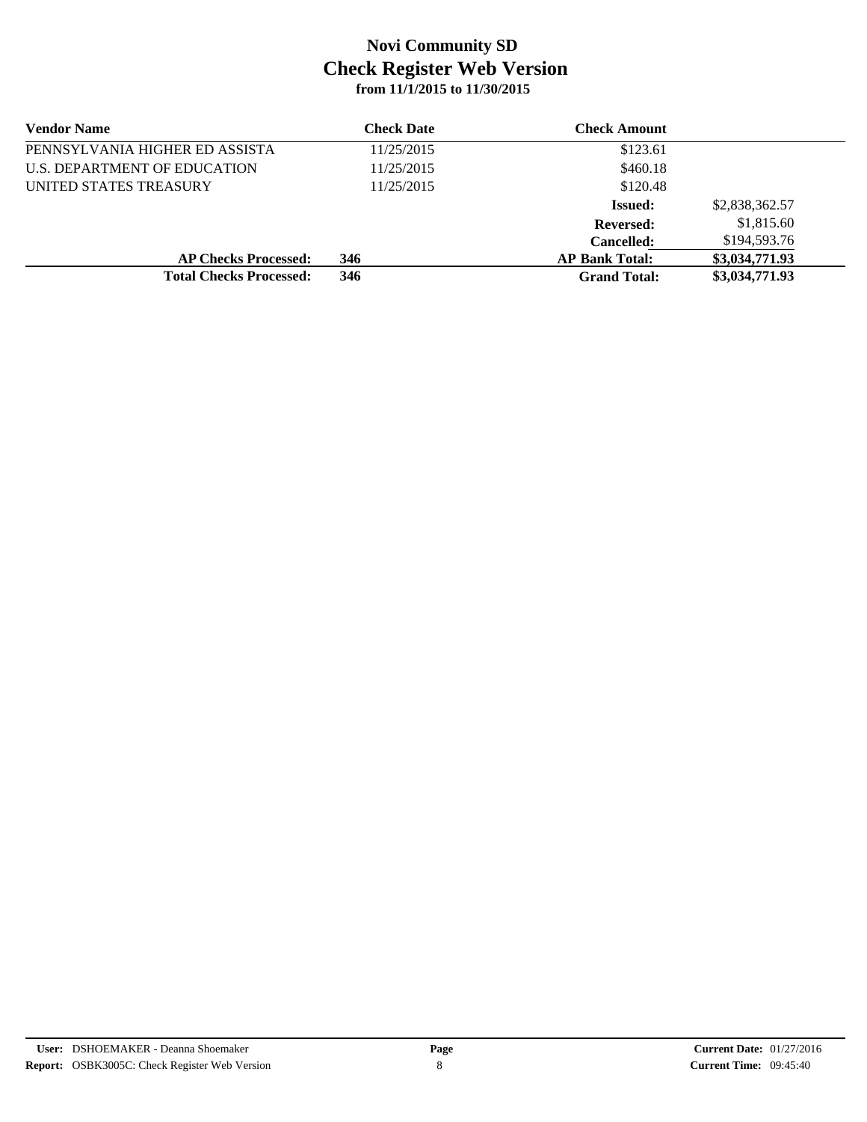| <b>Vendor Name</b>             | <b>Check Date</b> | <b>Check Amount</b>   |                |
|--------------------------------|-------------------|-----------------------|----------------|
| PENNSYLVANIA HIGHER ED ASSISTA | 11/25/2015        | \$123.61              |                |
| U.S. DEPARTMENT OF EDUCATION   | 11/25/2015        | \$460.18              |                |
| UNITED STATES TREASURY         | 11/25/2015        | \$120.48              |                |
|                                |                   | <b>Issued:</b>        | \$2,838,362.57 |
|                                |                   | <b>Reversed:</b>      | \$1,815.60     |
|                                |                   | <b>Cancelled:</b>     | \$194,593.76   |
| <b>AP Checks Processed:</b>    | 346               | <b>AP Bank Total:</b> | \$3,034,771.93 |
| <b>Total Checks Processed:</b> | 346               | <b>Grand Total:</b>   | \$3,034,771.93 |